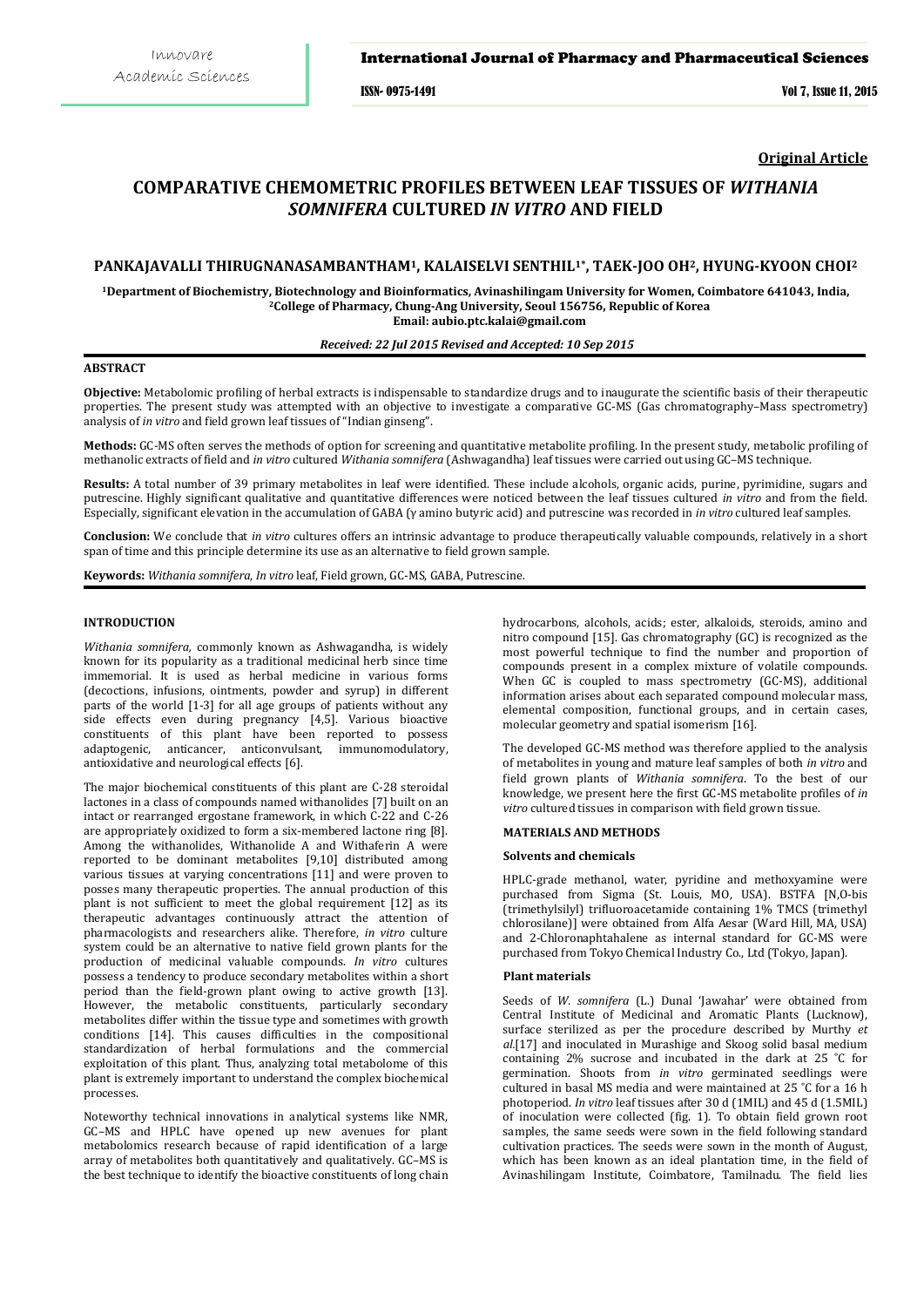### International Journal of Pharmacy and Pharmaceutical Sciences

ISSN- 0975-1491 Vol 7, Issue 11, 2015

**Original Article**

# **COMPARATIVE CHEMOMETRIC PROFILES BETWEEN LEAF TISSUES OF** *WITHANIA SOMNIFERA* **CULTURED** *IN VITRO* **AND FIELD**

## **PANKAJAVALLI THIRUGNANASAMBANTHAM1, KALAISELVI SENTHIL1\*, TAEK-JOO OH2, HYUNG-KYOON CHOI2**

**1Department of Biochemistry, Biotechnology and Bioinformatics, Avinashilingam University for Women, Coimbatore 641043, India, 2 College of Pharmacy, Chung-Ang University, Seoul 156756, Republic of Korea Email: aubio.ptc.kalai@gmail.com** 

*Received: 22 Jul 2015 Revised and Accepted: 10 Sep 2015*

# **ABSTRACT**

**Objective:** Metabolomic profiling of herbal extracts is indispensable to standardize drugs and to inaugurate the scientific basis of their therapeutic properties. The present study was attempted with an objective to investigate a comparative GC-MS (Gas chromatography–Mass spectrometry) analysis of *in vitro* and field grown leaf tissues of "Indian ginseng".

**Methods:** GC-MS often serves the methods of option for screening and quantitative metabolite profiling. In the present study, metabolic profiling of methanolic extracts of field and *in vitro* cultured *Withania somnifera* (Ashwagandha) leaf tissues were carried out using GC–MS technique.

**Results:** A total number of 39 primary metabolites in leaf were identified. These include alcohols, organic acids, purine, pyrimidine, sugars and putrescine. Highly significant qualitative and quantitative differences were noticed between the leaf tissues cultured *in vitro* and from the field. Especially, significant elevation in the accumulation of GABA (γ amino butyric acid) and putrescine was recorded in *in vitro* cultured leaf samples.

**Conclusion:** We conclude that *in vitro* cultures offers an intrinsic advantage to produce therapeutically valuable compounds, relatively in a short span of time and this principle determine its use as an alternative to field grown sample.

**Keywords:** *Withania somnifera*, *In vitro* leaf, Field grown, GC-MS, GABA, Putrescine.

# **INTRODUCTION**

*Withania somnifera,* commonly known as Ashwagandha, is widely known for its popularity as a traditional medicinal herb since time immemorial. It is used as herbal medicine in various forms (decoctions, infusions, ointments, powder and syrup) in different parts of the world [1-3] for all age groups of patients without any side effects even during pregnancy [4,5]. Various bioactive constituents of this plant have been reported to possess adaptogenic, anticancer, anticonvulsant, immunomodulatory, antioxidative and neurological effects [6].

The major biochemical constituents of this plant are C-28 steroidal lactones in a class of compounds named withanolides [7] built on an intact or rearranged ergostane framework, in which C-22 and C-26 are appropriately oxidized to form a six-membered lactone ring [8]. Among the withanolides, Withanolide A and Withaferin A were reported to be dominant metabolites [9,10] distributed among various tissues at varying concentrations [11] and were proven to posses many therapeutic properties. The annual production of this plant is not sufficient to meet the global requirement [12] as its therapeutic advantages continuously attract the attention of pharmacologists and researchers alike. Therefore, *in vitro* culture system could be an alternative to native field grown plants for the production of medicinal valuable compounds. *In vitro* cultures possess a tendency to produce secondary metabolites within a short period than the field-grown plant owing to active growth [13]. However, the metabolic constituents, particularly secondary metabolites differ within the tissue type and sometimes with growth conditions [14]. This causes difficulties in the compositional standardization of herbal formulations and the commercial exploitation of this plant. Thus, analyzing total metabolome of this plant is extremely important to understand the complex biochemical processes.

Noteworthy technical innovations in analytical systems like NMR, GC–MS and HPLC have opened up new avenues for plant metabolomics research because of rapid identification of a large array of metabolites both quantitatively and qualitatively. GC–MS is the best technique to identify the bioactive constituents of long chain

hydrocarbons, alcohols, acids; ester, alkaloids, steroids, amino and nitro compound [15]. Gas chromatography (GC) is recognized as the most powerful technique to find the number and proportion of compounds present in a complex mixture of volatile compounds. When GC is coupled to mass spectrometry (GC-MS), additional information arises about each separated compound molecular mass, elemental composition, functional groups, and in certain cases, molecular geometry and spatial isomerism [16].

The developed GC-MS method was therefore applied to the analysis of metabolites in young and mature leaf samples of both *in vitro* and field grown plants of *Withania somnifera*. To the best of our knowledge, we present here the first GC-MS metabolite profiles of *in vitro* cultured tissues in comparison with field grown tissue.

# **MATERIALS AND METHODS**

#### **Solvents and chemicals**

HPLC-grade methanol, water, pyridine and methoxyamine were purchased from Sigma (St. Louis, MO, USA). BSTFA [N,O-bis (trimethylsilyl) trifluoroacetamide containing 1% TMCS (trimethyl chlorosilane)] were obtained from Alfa Aesar (Ward Hill, MA, USA) and 2-Chloronaphtahalene as internal standard for GC-MS were purchased from Tokyo Chemical Industry Co., Ltd (Tokyo, Japan).

#### **Plant materials**

Seeds of *W. somnifera* (L.) Dunal 'Jawahar' were obtained from Central Institute of Medicinal and Aromatic Plants (Lucknow), surface sterilized as per the procedure described by Murthy *et al.*[17] and inoculated in Murashige and Skoog solid basal medium containing 2% sucrose and incubated in the dark at 25 ˚C for germination. Shoots from *in vitro* germinated seedlings were cultured in basal MS media and were maintained at 25 ˚C for a 16 h photoperiod. *In vitro* leaf tissues after 30 d (1MIL) and 45 d (1.5MIL) of inoculation were collected (fig. 1). To obtain field grown root samples, the same seeds were sown in the field following standard cultivation practices. The seeds were sown in the month of August, which has been known as an ideal plantation time, in the field of Avinashilingam Institute, Coimbatore, Tamilnadu. The field lies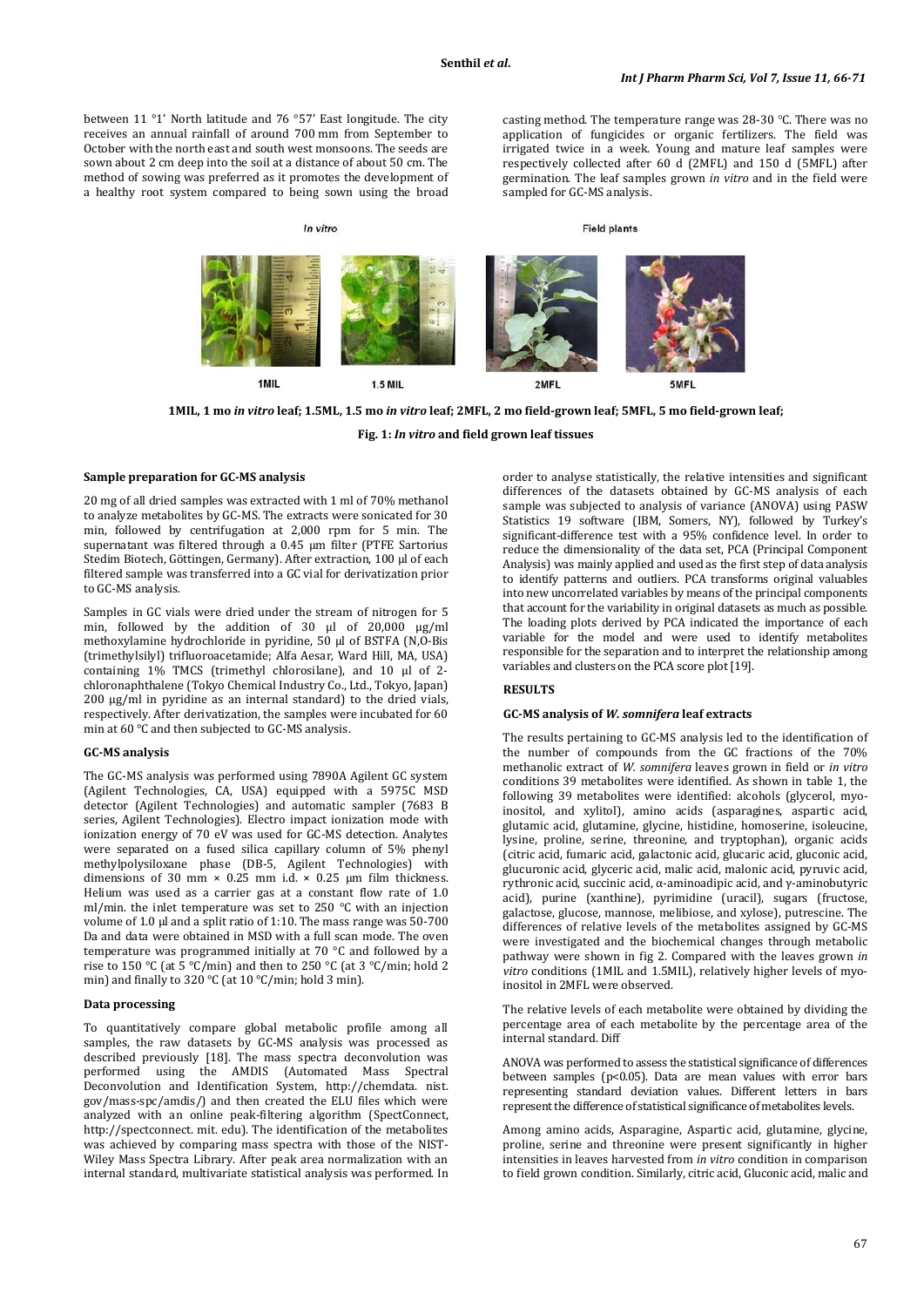between 11 °1' North latitude and 76 °57' East longitude. The city receives an annual rainfall of around 700 mm from September to October with the north east and south west monsoons. The seeds are sown about 2 cm deep into the soil at a distance of about 50 cm. The method of sowing was preferred as it promotes the development of a healthy root system compared to being sown using the broad

In vitro

casting method. The temperature range was 28-30 °C. There was no application of fungicides or organic fertilizers. The field was irrigated twice in a week. Young and mature leaf samples were respectively collected after 60 d (2MFL) and 150 d (5MFL) after germination. The leaf samples grown *in vitro* and in the field were sampled for GC-MS analysis.

**Field plants** 



**1MIL, 1 mo** *in vitro* **leaf; 1.5ML, 1.5 mo** *in vitro* **leaf; 2MFL, 2 mo field-grown leaf; 5MFL, 5 mo field-grown leaf;**

**Fig. 1:** *In vitro* **and field grown leaf tissues**

#### **Sample preparation for GC-MS analysis**

20 mg of all dried samples was extracted with 1 ml of 70% methanol to analyze metabolites by GC-MS. The extracts were sonicated for 30 min, followed by centrifugation at 2,000 rpm for 5 min. The supernatant was filtered through a 0.45 µm filter (PTFE Sartorius Stedim Biotech, Göttingen, Germany). After extraction, 100 µl of each filtered sample was transferred into a GC vial for derivatization prior to GC-MS analysis.

Samples in GC vials were dried under the stream of nitrogen for 5 min, followed by the addition of 30 µl of 20,000 µg/ml methoxylamine hydrochloride in pyridine, 50 µl of BSTFA (N,O-Bis (trimethylsilyl) trifluoroacetamide; Alfa Aesar, Ward Hill, MA, USA) containing 1% TMCS (trimethyl chlorosilane), and 10 µl of 2 chloronaphthalene (Tokyo Chemical Industry Co., Ltd., Tokyo, Japan) 200 µg/ml in pyridine as an internal standard) to the dried vials, respectively. After derivatization, the samples were incubated for 60 min at 60 °C and then subjected to GC-MS analysis.

### **GC-MS analysis**

The GC-MS analysis was performed using 7890A Agilent GC system (Agilent Technologies, CA, USA) equipped with a 5975C MSD detector (Agilent Technologies) and automatic sampler (7683 B series, Agilent Technologies). Electro impact ionization mode with ionization energy of 70 eV was used for GC-MS detection. Analytes were separated on a fused silica capillary column of 5% phenyl methylpolysiloxane phase (DB-5, Agilent Technologies) with dimensions of 30 mm  $\times$  0.25 mm i.d.  $\times$  0.25 µm film thickness. Helium was used as a carrier gas at a constant flow rate of 1.0 ml/min. the inlet temperature was set to 250 °C with an injection volume of 1.0 µl and a split ratio of 1:10. The mass range was 50-700 Da and data were obtained in MSD with a full scan mode. The oven temperature was programmed initially at 70 °C and followed by a rise to 150 °C (at 5 °C/min) and then to 250 °C (at 3 °C/min; hold 2 min) and finally to 320 °C (at 10 °C/min; hold 3 min).

#### **Data processing**

To quantitatively compare global metabolic profile among all samples, the raw datasets by GC-MS analysis was processed as described previously [18]. The mass spectra deconvolution was performed using the AMDIS (Automated Mass Spectral Deconvolution and Identification System, http://chemdata. nist. gov/mass-spc/amdis/) and then created the ELU files which were analyzed with an online peak-filtering algorithm (SpectConnect, http://spectconnect. mit. edu). The identification of the metabolites was achieved by comparing mass spectra with those of the NIST-Wiley Mass Spectra Library. After peak area normalization with an internal standard, multivariate statistical analysis was performed. In

order to analyse statistically, the relative intensities and significant differences of the datasets obtained by GC-MS analysis of each sample was subjected to analysis of variance (ANOVA) using PASW Statistics 19 software (IBM, Somers, NY), followed by Turkey's significant-difference test with a 95% confidence level. In order to reduce the dimensionality of the data set, PCA (Principal Component Analysis) was mainly applied and used as the first step of data analysis to identify patterns and outliers. PCA transforms original valuables into new uncorrelated variables by means of the principal components that account for the variability in original datasets as much as possible. The loading plots derived by PCA indicated the importance of each variable for the model and were used to identify metabolites responsible for the separation and to interpret the relationship among variables and clusters on the PCA score plot [19].

#### **RESULTS**

### **GC-MS analysis of** *W. somnifera* **leaf extracts**

The results pertaining to GC-MS analysis led to the identification of the number of compounds from the GC fractions of the 70% methanolic extract of *W. somnifera* leaves grown in field or *in vitro* conditions 39 metabolites were identified. As shown in table 1, the following 39 metabolites were identified: alcohols (glycerol, myoinositol, and xylitol), amino acids (asparagines, aspartic acid, glutamic acid, glutamine, glycine, histidine, homoserine, isoleucine, lysine, proline, serine, threonine, and tryptophan), organic acids (citric acid, fumaric acid, galactonic acid, glucaric acid, gluconic acid, glucuronic acid, glyceric acid, malic acid, malonic acid, pyruvic acid, rythronic acid, succinic acid, α-aminoadipic acid, and γ-aminobutyric acid), purine (xanthine), pyrimidine (uracil), sugars (fructose, galactose, glucose, mannose, melibiose, and xylose), putrescine. The differences of relative levels of the metabolites assigned by GC-MS were investigated and the biochemical changes through metabolic pathway were shown in fig 2. Compared with the leaves grown *in vitro* conditions (1MIL and 1.5MIL), relatively higher levels of myoinositol in 2MFL were observed.

The relative levels of each metabolite were obtained by dividing the percentage area of each metabolite by the percentage area of the internal standard. Diff

ANOVA was performed to assess the statistical significance of differences between samples ( $p$ <0.05). Data are mean values with error bars representing standard deviation values. Different letters in bars represent the difference of statistical significance of metabolites levels.

Among amino acids, Asparagine, Aspartic acid, glutamine, glycine, proline, serine and threonine were present significantly in higher intensities in leaves harvested from *in vitro* condition in comparison to field grown condition. Similarly, citric acid, Gluconic acid, malic and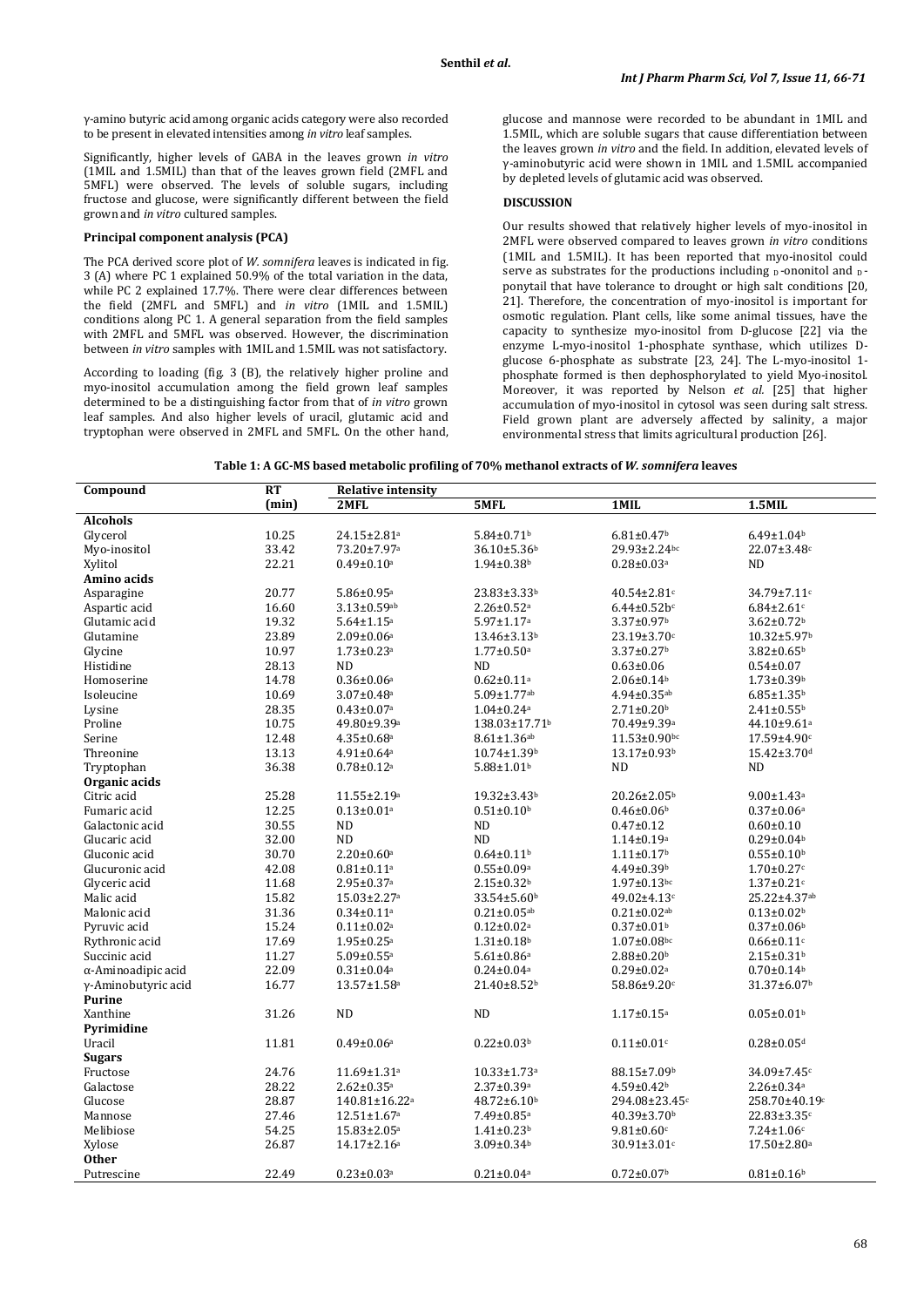γ-amino butyric acid among organic acids category were also recorded to be present in elevated intensities among *in vitro* leaf samples.

Significantly, higher levels of GABA in the leaves grown *in vitro* (1MIL and 1.5MIL) than that of the leaves grown field (2MFL and 5MFL) were observed. The levels of soluble sugars, including fructose and glucose, were significantly different between the field grown and *in vitro* cultured samples.

### **Principal component analysis (PCA)**

The PCA derived score plot of *W. somnifera* leaves is indicated in fig. 3 (A) where PC 1 explained 50.9% of the total variation in the data, while PC 2 explained 17.7%. There were clear differences between the field (2MFL and 5MFL) and *in vitro* (1MIL and 1.5MIL) conditions along PC 1. A general separation from the field samples with 2MFL and 5MFL was observed. However, the discrimination between *in vitro* samples with 1MIL and 1.5MIL was not satisfactory.

According to loading (fig. 3 (B), the relatively higher proline and myo-inositol accumulation among the field grown leaf samples determined to be a distinguishing factor from that of *in vitro* grown leaf samples. And also higher levels of uracil, glutamic acid and tryptophan were observed in 2MFL and 5MFL. On the other hand, glucose and mannose were recorded to be abundant in 1MIL and 1.5MIL, which are soluble sugars that cause differentiation between the leaves grown *in vitro* and the field. In addition, elevated levels of γ-aminobutyric acid were shown in 1MIL and 1.5MIL accompanied by depleted levels of glutamic acid was observed.

# **DISCUSSION**

Our results showed that relatively higher levels of myo-inositol in 2MFL were observed compared to leaves grown *in vitro* conditions (1MIL and 1.5MIL). It has been reported that myo-inositol could serve as substrates for the productions including  $\overline{D}$ -ononitol and  $\overline{D}$ ponytail that have tolerance to drought or high salt conditions [20, 21]. Therefore, the concentration of myo-inositol is important for osmotic regulation. Plant cells, like some animal tissues, have the capacity to synthesize myo-inositol from D-glucose [22] via the enzyme L-myo-inositol 1-phosphate synthase, which utilizes Dglucose 6-phosphate as substrate [23, 24]. The L-myo-inositol 1 phosphate formed is then dephosphorylated to yield Myo-inositol. Moreover, it was reported by Nelson *et al.* [25] that higher accumulation of myo-inositol in cytosol was seen during salt stress. Field grown plant are adversely affected by salinity, a major environmental stress that limits agricultural production [26].

| Table 1: A GC-MS based metabolic profiling of 70% methanol extracts of <i>W. somnifera</i> leaves |  |
|---------------------------------------------------------------------------------------------------|--|
|---------------------------------------------------------------------------------------------------|--|

| Compound            | <b>RT</b> | <b>Relative intensity</b>     |                               |                               |                               |  |
|---------------------|-----------|-------------------------------|-------------------------------|-------------------------------|-------------------------------|--|
|                     | (min)     | 2MFL                          | 5MFL                          | $1$ MIL                       | $1.5$ MIL                     |  |
| <b>Alcohols</b>     |           |                               |                               |                               |                               |  |
| Glycerol            | 10.25     | 24.15±2.81 <sup>a</sup>       | $5.84 \pm 0.71$ <sup>b</sup>  | $6.81 \pm 0.47$ <sup>b</sup>  | $6.49 \pm 1.04$ <sup>b</sup>  |  |
| Myo-inositol        | 33.42     | 73.20±7.97 <sup>a</sup>       | 36.10±5.36b                   | 29.93±2.24bc                  | 22.07±3.48c                   |  |
| Xylitol             | 22.21     | $0.49 \pm 0.10$ a             | $1.94 \pm 0.38$ b             | $0.28 \pm 0.03$ <sup>a</sup>  | <b>ND</b>                     |  |
| Amino acids         |           |                               |                               |                               |                               |  |
| Asparagine          | 20.77     | $5.86 \pm 0.95$ <sup>a</sup>  | 23.83±3.33 <sup>b</sup>       | 40.54±2.81c                   | 34.79±7.11c                   |  |
| Aspartic acid       | 16.60     | $3.13 \pm 0.59$ ab            | $2.26 \pm 0.52$ <sup>a</sup>  | $6.44 \pm 0.52 b^c$           | $6.84 \pm 2.61$ c             |  |
| Glutamic acid       | 19.32     | $5.64 \pm 1.15$ <sup>a</sup>  | $5.97 \pm 1.17$ <sup>a</sup>  | 3.37±0.97b                    | $3.62 \pm 0.72$ <sup>b</sup>  |  |
| Glutamine           | 23.89     | $2.09 \pm 0.06$ <sup>a</sup>  | $13.46 \pm 3.13$ <sup>b</sup> | 23.19±3.70c                   | $10.32 \pm 5.97$ <sup>b</sup> |  |
| Glycine             | 10.97     | $1.73 \pm 0.23$ <sup>a</sup>  | $1.77 \pm 0.50$ <sup>a</sup>  | $3.37 \pm 0.27$ <sup>b</sup>  | $3.82 \pm 0.65^b$             |  |
| Histidine           | 28.13     | <b>ND</b>                     | <b>ND</b>                     | $0.63 \pm 0.06$               | $0.54 \pm 0.07$               |  |
| Homoserine          | 14.78     | $0.36 \pm 0.06^a$             | $0.62 \pm 0.11$ <sup>a</sup>  | $2.06 \pm 0.14$ <sup>b</sup>  | $1.73 \pm 0.39$ <sup>b</sup>  |  |
| Isoleucine          | 10.69     | $3.07 \pm 0.48$ <sup>a</sup>  | 5.09±1.77ab                   | $4.94 \pm 0.35$ ab            | $6.85 \pm 1.35$ <sup>b</sup>  |  |
| Lysine              | 28.35     | $0.43 \pm 0.07$ <sup>a</sup>  | $1.04 \pm 0.24$ <sup>a</sup>  | $2.71 \pm 0.20$ <sup>b</sup>  | $2.41 \pm 0.55$ <sup>b</sup>  |  |
| Proline             | 10.75     | 49.80±9.39a                   | 138.03±17.71b                 | 70.49±9.39a                   | 44.10±9.61ª                   |  |
| Serine              | 12.48     | $4.35 \pm 0.68$ <sup>a</sup>  | $8.61 \pm 1.36$ ab            | $11.53 \pm 0.90$ bc           | $17.59 \pm 4.90$ c            |  |
| Threonine           | 13.13     | $4.91 \pm 0.64$ <sup>a</sup>  | $10.74 \pm 1.39$ <sup>b</sup> | 13.17±0.93b                   | 15.42±3.70d                   |  |
| Tryptophan          | 36.38     | $0.78 \pm 0.12$ <sup>a</sup>  | $5.88 \pm 1.01$ <sup>b</sup>  | ND                            | <b>ND</b>                     |  |
| Organic acids       |           |                               |                               |                               |                               |  |
| Citric acid         | 25.28     | 11.55±2.19 <sup>a</sup>       | $19.32 \pm 3.43$ <sup>b</sup> | 20.26±2.05 <sup>b</sup>       | $9.00 \pm 1.43$ <sup>a</sup>  |  |
| Fumaric acid        | 12.25     | $0.13 \pm 0.01$ <sup>a</sup>  | $0.51 \pm 0.10^b$             | $0.46 \pm 0.06$ <sup>b</sup>  | $0.37 \pm 0.06^a$             |  |
| Galactonic acid     | 30.55     | <b>ND</b>                     | <b>ND</b>                     | $0.47 \pm 0.12$               | $0.60 \pm 0.10$               |  |
| Glucaric acid       | 32.00     | $\rm ND$                      | $\rm ND$                      | $1.14 \pm 0.19^a$             | $0.29 \pm 0.04$ <sup>b</sup>  |  |
| Gluconic acid       | 30.70     | $2.20 \pm 0.60$ <sup>a</sup>  | $0.64 \pm 0.11$ <sup>b</sup>  | $1.11 \pm 0.17$ <sup>b</sup>  | $0.55 \pm 0.10^{\rm b}$       |  |
| Glucuronic acid     | 42.08     | $0.81 \pm 0.11^a$             | $0.55 \pm 0.09$ <sup>a</sup>  | $4.49 \pm 0.39$ <sup>b</sup>  | $1.70 \pm 0.27$ c             |  |
| Glyceric acid       | 11.68     | $2.95 \pm 0.37$ <sup>a</sup>  | $2.15 \pm 0.32$ <sup>b</sup>  | $1.97 \pm 0.13$ bc            | $1.37 \pm 0.21$ c             |  |
| Malic acid          | 15.82     | $15.03 \pm 2.27$ <sup>a</sup> | $33.54 \pm 5.60$ <sup>b</sup> | 49.02±4.13c                   | 25.22±4.37ab                  |  |
| Malonic acid        | 31.36     | $0.34 \pm 0.11$ <sup>a</sup>  | $0.21 \pm 0.05$ <sup>ab</sup> | $0.21 \pm 0.02$ ab            | $0.13 \pm 0.02$ <sup>b</sup>  |  |
| Pyruvic acid        | 15.24     | $0.11 \pm 0.02$ <sup>a</sup>  | $0.12 \pm 0.02^a$             | $0.37 \pm 0.01$ <sup>b</sup>  | $0.37 \pm 0.06$ <sup>b</sup>  |  |
| Rythronic acid      | 17.69     | $1.95 \pm 0.25$ <sup>a</sup>  | $1.31 \pm 0.18$ <sup>b</sup>  | $1.07 \pm 0.08$ bc            | $0.66 \pm 0.11$ c             |  |
| Succinic acid       | 11.27     | $5.09 \pm 0.55$ <sup>a</sup>  | $5.61 \pm 0.86$ <sup>a</sup>  | $2.88 \pm 0.20$ <sup>b</sup>  | $2.15 \pm 0.31$ <sup>b</sup>  |  |
| α-Aminoadipic acid  | 22.09     | $0.31 \pm 0.04$ <sup>a</sup>  | $0.24 \pm 0.04$ <sup>a</sup>  | $0.29 \pm 0.02$ <sup>a</sup>  | $0.70 \pm 0.14$ <sup>b</sup>  |  |
| γ-Aminobutyric acid | 16.77     | $13.57 \pm 1.58$ <sup>a</sup> | 21.40±8.52b                   | 58.86±9.20c                   | $31.37 \pm 6.07$ <sup>b</sup> |  |
| <b>Purine</b>       |           |                               |                               |                               |                               |  |
| Xanthine            | 31.26     | ND                            | $\rm ND$                      | $1.17 \pm 0.15^{\rm a}$       | $0.05 \pm 0.01$ <sup>b</sup>  |  |
| Pyrimidine          |           |                               |                               |                               |                               |  |
| Uracil              | 11.81     | $0.49 \pm 0.06$ <sup>a</sup>  | $0.22 \pm 0.03$ <sup>b</sup>  | $0.11 \pm 0.01$ c             | $0.28 \pm 0.05$ d             |  |
| <b>Sugars</b>       |           |                               |                               |                               |                               |  |
| Fructose            | 24.76     | 11.69±1.31 <sup>a</sup>       | $10.33 \pm 1.73$ <sup>a</sup> | 88.15±7.09b                   | 34.09±7.45c                   |  |
| Galactose           | 28.22     | $2.62 \pm 0.35$ <sup>a</sup>  | $2.37 \pm 0.39$ a             | 4.59±0.42b                    | $2.26 \pm 0.34$ <sup>a</sup>  |  |
| Glucose             | 28.87     | 140.81±16.22 <sup>a</sup>     | $48.72 \pm 6.10^b$            | 294.08±23.45c                 | 258.70±40.19c                 |  |
| Mannose             | 27.46     | $12.51 \pm 1.67$ <sup>a</sup> | 7.49±0.85 <sup>a</sup>        | $40.39 \pm 3.70$ <sup>b</sup> | 22.83±3.35c                   |  |
| Melibiose           | 54.25     | $15.83 \pm 2.05^a$            | $1.41{\pm}0.23^{\mathrm{b}}$  | $9.81 \pm 0.60$ c             | $7.24 \pm 1.06$ c             |  |
| Xylose              | 26.87     | $14.17 \pm 2.16^a$            | $3.09 \pm 0.34$ <sup>b</sup>  | 30.91±3.01c                   | $17.50 \pm 2.80^a$            |  |
| <b>Other</b>        |           |                               |                               |                               |                               |  |
| Putrescine          | 22.49     | $0.23 \pm 0.03$ <sup>a</sup>  | $0.21 \pm 0.04$ a             | $0.72 \pm 0.07$ <sup>b</sup>  | $0.81 \pm 0.16$               |  |
|                     |           |                               |                               |                               |                               |  |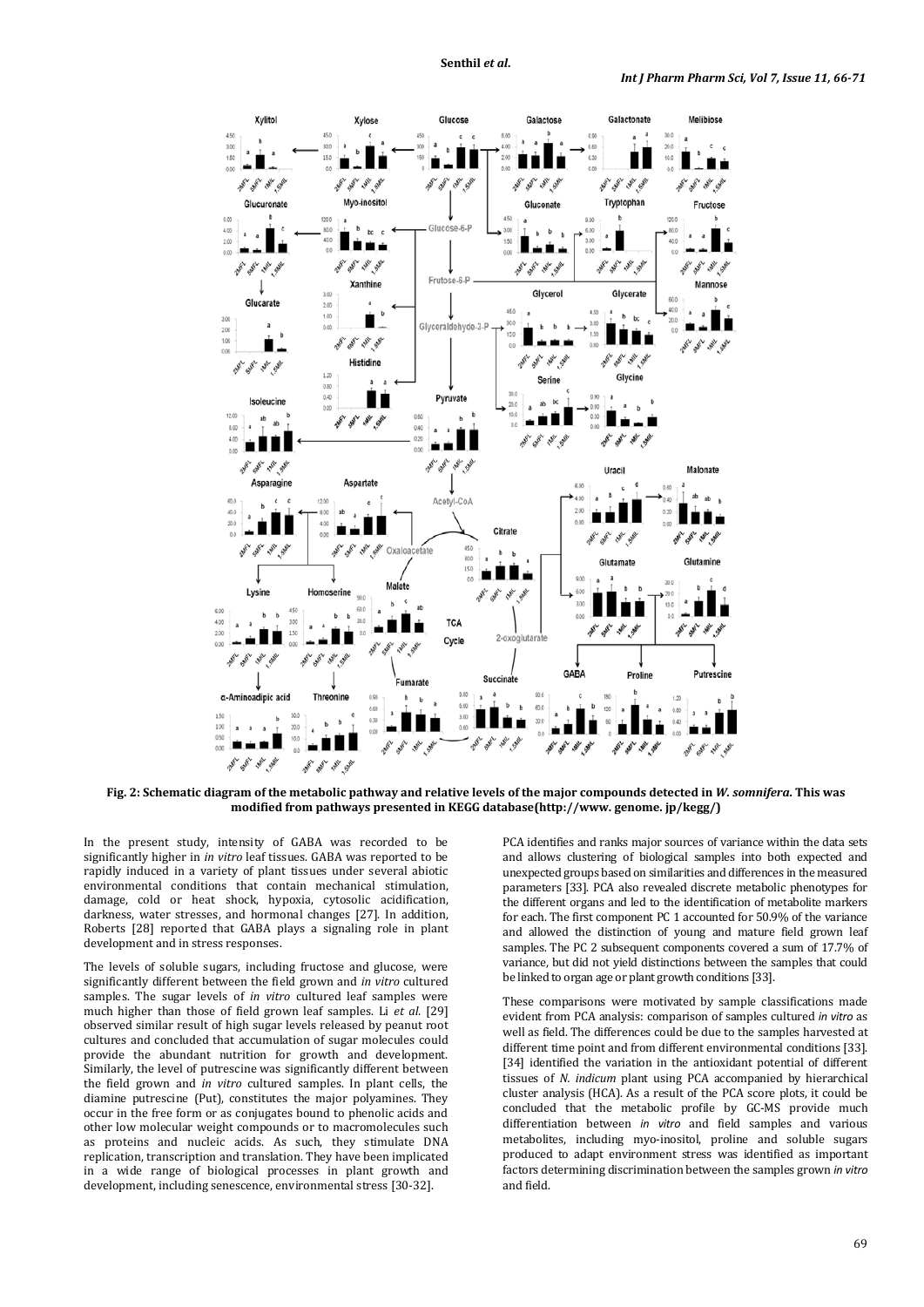

**Fig. 2: Schematic diagram of the metabolic pathway and relative levels of the major compounds detected in** *W. somnifera***. This was modified from pathways presented in KEGG database(http://www. genome. jp/kegg/)**

In the present study, intensity of GABA was recorded to be significantly higher in *in vitro* leaf tissues. GABA was reported to be rapidly induced in a variety of plant tissues under several abiotic environmental conditions that contain mechanical stimulation, damage, cold or heat shock, hypoxia, cytosolic acidification, darkness, water stresses, and hormonal changes [27]. In addition, Roberts [28] reported that GABA plays a signaling role in plant development and in stress responses.

The levels of soluble sugars, including fructose and glucose, were significantly different between the field grown and *in vitro* cultured samples. The sugar levels of *in vitro* cultured leaf samples were much higher than those of field grown leaf samples. Li *et al.* [29] observed similar result of high sugar levels released by peanut root cultures and concluded that accumulation of sugar molecules could provide the abundant nutrition for growth and development. Similarly, the level of putrescine was significantly different between the field grown and *in vitro* cultured samples. In plant cells, the diamine putrescine (Put), constitutes the major polyamines. They occur in the free form or as conjugates bound to phenolic acids and other low molecular weight compounds or to macromolecules such as proteins and nucleic acids. As such, they stimulate DNA replication, transcription and translation. They have been implicated in a wide range of biological processes in plant growth and development, including senescence, environmental stress [30-32].

PCA identifies and ranks major sources of variance within the data sets and allows clustering of biological samples into both expected and unexpected groups based on similarities and differences in the measured parameters [33]. PCA also revealed discrete metabolic phenotypes for the different organs and led to the identification of metabolite markers for each. The first component PC 1 accounted for 50.9% of the variance and allowed the distinction of young and mature field grown leaf samples. The PC 2 subsequent components covered a sum of 17.7% of variance, but did not yield distinctions between the samples that could be linked to organ age or plant growth conditions [33].

These comparisons were motivated by sample classifications made evident from PCA analysis: comparison of samples cultured *in vitro* as well as field. The differences could be due to the samples harvested at different time point and from different environmental conditions [33]. [34] identified the variation in the antioxidant potential of different tissues of *N. indicum* plant using PCA accompanied by hierarchical cluster analysis (HCA). As a result of the PCA score plots, it could be concluded that the metabolic profile by GC-MS provide much differentiation between *in vitro* and field samples and various metabolites, including myo-inositol, proline and soluble sugars produced to adapt environment stress was identified as important factors determining discrimination between the samples grown *in vitro* and field.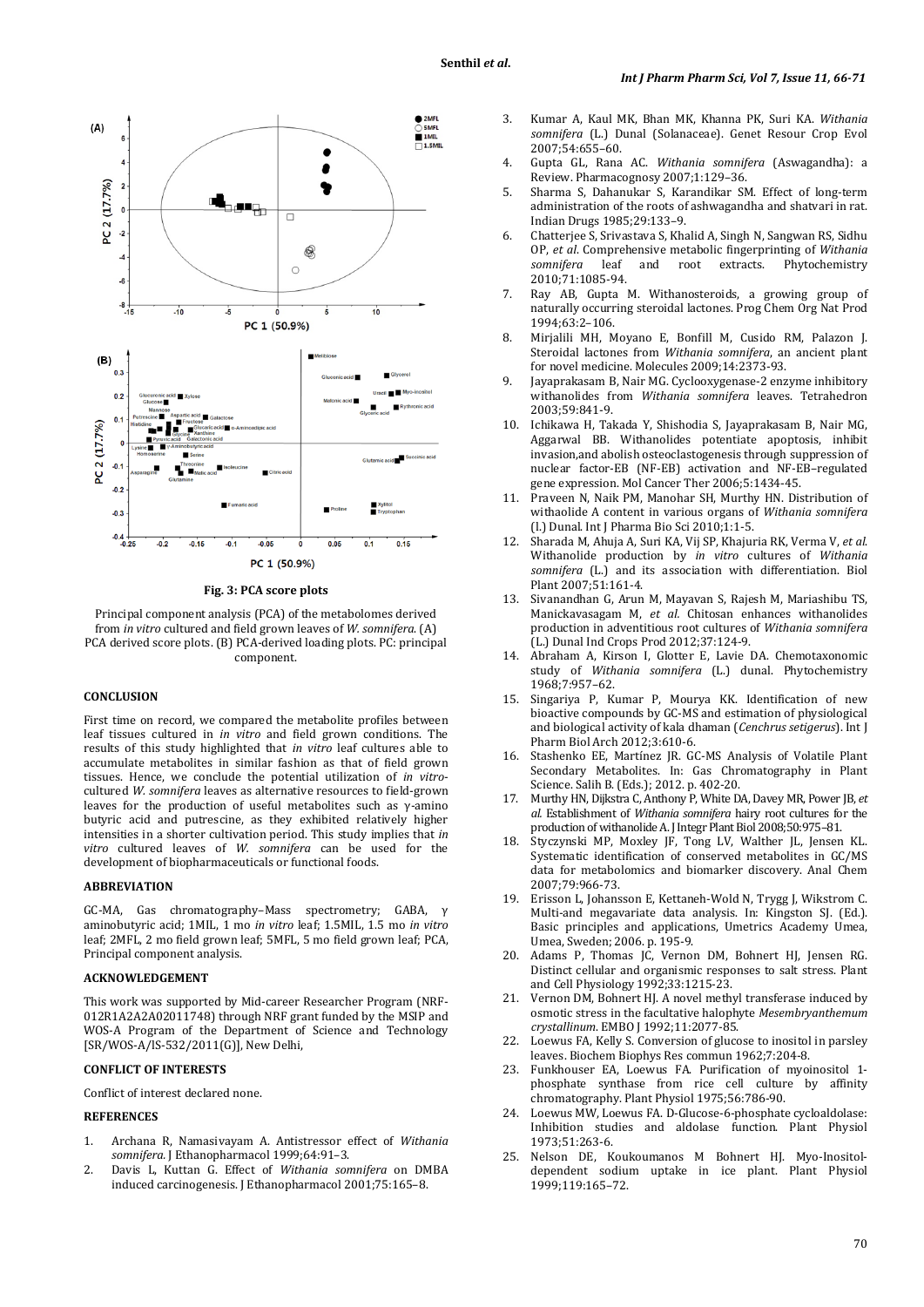

**Fig. 3: PCA score plots**

Principal component analysis (PCA) of the metabolomes derived from *in vitro* cultured and field grown leaves of *W. somnifera*. (A) PCA derived score plots. (B) PCA-derived loading plots. PC: principal component.

#### **CONCLUSION**

First time on record, we compared the metabolite profiles between leaf tissues cultured in *in vitro* and field grown conditions. The results of this study highlighted that *in vitro* leaf cultures able to accumulate metabolites in similar fashion as that of field grown tissues. Hence, we conclude the potential utilization of *in vitro*cultured *W. somnifera* leaves as alternative resources to field-grown leaves for the production of useful metabolites such as γ-amino butyric acid and putrescine, as they exhibited relatively higher intensities in a shorter cultivation period. This study implies that *in vitro* cultured leaves of *W. somnifera* can be used for the development of biopharmaceuticals or functional foods.

### **ABBREVIATION**

GC-MA, Gas chromatography–Mass spectrometry; GABA, γ aminobutyric acid; 1MIL, 1 mo *in vitro* leaf; 1.5MIL, 1.5 mo *in vitro* leaf; 2MFL, 2 mo field grown leaf; 5MFL, 5 mo field grown leaf; PCA, Principal component analysis.

#### **ACKNOWLEDGEMENT**

This work was supported by Mid-career Researcher Program (NRF-012R1A2A2A02011748) through NRF grant funded by the MSIP and WOS-A Program of the Department of Science and Technology [SR/WOS-A/lS-532/2011(G)], New Delhi,

# **CONFLICT OF INTERESTS**

Conflict of interest declared none.

### **REFERENCES**

- 1. Archana R, Namasivayam A. Antistressor effect of *Withania somnifera.* J Ethanopharmacol 1999;64:91–3.
- 2. Davis L, Kuttan G. Effect of *Withania somnifera* on DMBA induced carcinogenesis. J Ethanopharmacol 2001;75:165–8.
- 3. Kumar A, Kaul MK, Bhan MK, Khanna PK, Suri KA. *Withania somnifera* (L.) Dunal (Solanaceae). Genet Resour Crop Evol 2007;54:655–60.
- 4. Gupta GL, Rana AC. *Withania somnifera* (Aswagandha): a Review. Pharmacognosy 2007;1:129–36.
- 5. Sharma S, Dahanukar S, Karandikar SM. Effect of long-term administration of the roots of ashwagandha and shatvari in rat. Indian Drugs 1985;29:133–9.
- 6. Chatterjee S, Srivastava S, Khalid A, Singh N, Sangwan RS, Sidhu OP, *et al*. Comprehensive metabolic fingerprinting of *Withania*  Phytochemistry 2010;71:1085-94.
- 7. Ray AB, Gupta M. Withanosteroids, a growing group of naturally occurring steroidal lactones. Prog Chem Org Nat Prod 1994;63:2–106.
- 8. Mirjalili MH, Moyano E, Bonfill M, Cusido RM, Palazon J. Steroidal lactones from *Withania somnifera*, an ancient plant for novel medicine. Molecules 2009;14:2373-93.
- 9. Jayaprakasam B, Nair MG. Cyclooxygenase-2 enzyme inhibitory withanolides from *Withania somnifera* leaves. Tetrahedron 2003;59:841-9.
- 10. Ichikawa H, Takada Y, Shishodia S, Jayaprakasam B, Nair MG, Aggarwal BB. Withanolides potentiate apoptosis, inhibit invasion,and abolish osteoclastogenesis through suppression of nuclear factor-EB (NF-EB) activation and NF-EB–regulated gene expression. Mol Cancer Ther 2006;5:1434-45.
- 11. Praveen N, Naik PM, Manohar SH, Murthy HN. Distribution of withaolide A content in various organs of *Withania somnifera* (l.) Dunal. Int J Pharma Bio Sci 2010;1:1-5.
- 12. Sharada M, Ahuja A, Suri KA, Vij SP, Khajuria RK, Verma V, *et al*. Withanolide production by *in vitro* cultures of *Withania somnifera* (L.) and its association with differentiation. Biol Plant 2007;51:161-4.
- 13. Sivanandhan G, Arun M, Mayavan S, Rajesh M, Mariashibu TS, Manickavasagam M, *et al.* Chitosan enhances withanolides production in adventitious root cultures of *Withania somnifera* (L.) Dunal Ind Crops Prod 2012;37:124-9.
- 14. Abraham A, Kirson I, Glotter E, Lavie DA. Chemotaxonomic study of *Withania somnifera* (L.) dunal. Phytochemistry 1968;7:957–62.
- 15. Singariya P, Kumar P, Mourya KK. Identification of new bioactive compounds by GC-MS and estimation of physiological and biological activity of kala dhaman (*Cenchrus setigerus*). Int J Pharm Biol Arch 2012;3:610-6.
- 16. Stashenko EE, Martínez JR. GC-MS Analysis of Volatile Plant Secondary Metabolites. In: Gas Chromatography in Plant Science. Salih B. (Eds.); 2012. p. 402-20.
- 17. Murthy HN, Dijkstra C, Anthony P, White DA, Davey MR, Power JB, *et al.* Establishment of *Withania somnifera* hairy root cultures for the production of withanolide A. J Integr Plant Biol2008;50:975–81.
- 18. Styczynski MP, Moxley JF, Tong LV, Walther JL, Jensen KL. Systematic identification of conserved metabolites in GC/MS data for metabolomics and biomarker discovery. Anal Chem 2007;79:966-73.
- 19. Erisson L, Johansson E, Kettaneh-Wold N, Trygg J, Wikstrom C. Multi-and megavariate data analysis. In: Kingston SJ. (Ed.). Basic principles and applications, Umetrics Academy Umea, Umea, Sweden; 2006. p. 195-9.
- 20. Adams P, Thomas JC, Vernon DM, Bohnert HJ, Jensen RG. Distinct cellular and organismic responses to salt stress. Plant and Cell Physiology 1992;33:1215-23.
- 21. Vernon DM, Bohnert HJ. A novel methyl transferase induced by osmotic stress in the facultative halophyte *Mesembryanthemum crystallinum*. EMBO J 1992;11:2077-85.
- 22. Loewus FA, Kelly S. Conversion of glucose to inositol in parsley leaves. Biochem Biophys Res commun 1962;7:204-8.
- 23. Funkhouser EA, Loewus FA. Purification of myoinositol 1 phosphate synthase from rice cell culture by affinity chromatography. Plant Physiol 1975;56:786-90.
- 24. Loewus MW, Loewus FA. D-Glucose-6-phosphate cycloaldolase: Inhibition studies and aldolase function. Plant Physiol 1973;51:263-6.
- 25. Nelson DE, Koukoumanos M Bohnert HJ. Myo-Inositoldependent sodium uptake in ice plant. Plant Physiol 1999;119:165–72.